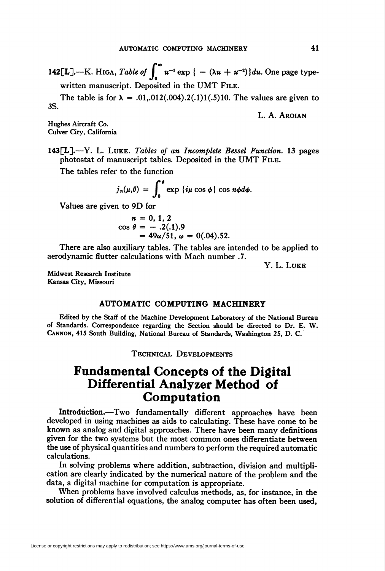142[L].—K. HIGA, Table of  $\int_{0}^{\infty} u^{-1} \exp \{- (\lambda u + u^{-2}) \} du$ . One page typewritten manuscript. Deposited in the UMT File.

The table is for  $\lambda = .01, .012(.004).2(.1)1(.5)10$ . The values are given to 3S.

L. A. Aroian

Hughes Aircraft Co. Culver City, California

 $143[L]$ . – Y. L. Luke. Tables of an Incomplete Bessel Function. 13 pages photostat of manuscript tables. Deposited in the UMT File.

The tables refer to the function

 $j_n(\mu,\theta) = \int_0^{\theta} \exp \{i\mu\cos\phi\} \cos n\phi d\phi.$ 

Values are given to 9D for

$$
n = 0, 1, 2
$$
  
\n
$$
\cos \theta = -.2(.1).9
$$
  
\n
$$
= 49\omega/51, \omega = 0(.04).52.
$$

There are also auxiliary tables. The tables are intended to be applied to aerodynamic flutter calculations with Mach number .7.

Y. L. Luke

Midwest Research Institute Kansas City, Missouri

## AUTOMATIC COMPUTING MACHINERY

Edited by the Staff of the Machine Development Laboratory of the National Bureau of Standards. Correspondence regarding the Section should be directed to Dr. E. W. Cannon, 415 South Building, National Bureau of Standards, Washington 25, D. C.

Technical Developments

## Fundamental Concepts of the Digital Differential Analyzer Method of Computation

Introduction.—Two fundamentally different approaches have been developed in using machines as aids to calculating. These have come to be known as analog and digital approaches. There have been many definitions given for the two systems but the most common ones differentiate between the use of physical quantities and numbers to perform the required automatic calculations.

In solving problems where addition, subtraction, division and multiplication are clearly indicated by the numerical nature of the problem and the data, a digital machine for computation is appropriate.

When problems have involved calculus methods, as, for instance, in the solution of differential equations, the analog computer has often been used,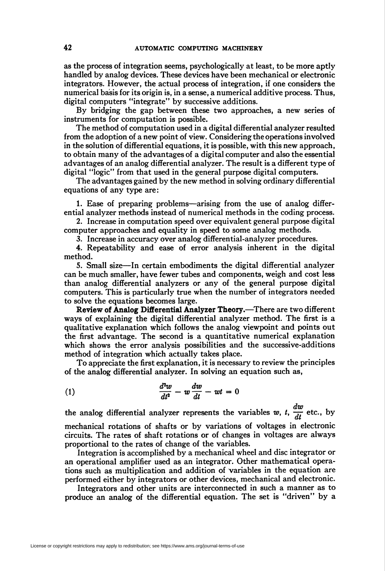as the process of integration seems, psychologically at least, to be more aptly handled by analog devices. These devices have been mechanical or electronic integrators. However, the actual process of integration, if one considers the numerical basis for its origin is, in a sense, a numerical additive process. Thus, digital computers "integrate" by successive additions.

By bridging the gap between these two approaches, a new series of instruments for computation is possible.

The method of computation used in a digital differential analyzer resulted from the adoption of a new point of view. Considering the operations involved in the solution of differential equations, it is possible, with this new approach, to obtain many of the advantages of a digital computer and also the essential advantages of an analog differential analyzer. The result is a different type of digital "logic" from that used in the general purpose digital computers.

The advantages gained by the new method in solving ordinary differential equations of any type are:

1. Ease of preparing problems—arising from the use of analog differential analyzer methods instead of numerical methods in the coding process.

2. Increase in computation speed over equivalent general purpose digital computer approaches and equality in speed to some analog methods.

3. Increase in accuracy over analog differential-analyzer procedures.

4. Repeatability and ease of error analysis inherent in the digital method.

5. Small size—In certain embodiments the digital differential analyzer can be much smaller, have fewer tubes and components, weigh and cost less than analog differential analyzers or any of the general purpose digital computers. This is particularly true when the number of integrators needed to solve the equations becomes large.

Review of Analog Differential Analyzer Theory.—There are two different ways of explaining the digital differential analyzer method. The first is a qualitative explanation which follows the analog viewpoint and points out the first advantage. The second is a quantitative numerical explanation which shows the error analysis possibilities and the successive-additions method of integration which actually takes place.

To appreciate the first explanation, it is necessary to review the principles of the analog differential analyzer. In solving an equation such as,

$$
\frac{d^2w}{dt^2} - w\frac{dw}{dt} - wt = 0
$$

the analog differential analyzer represents the variables w, t,  $\frac{dw}{dt}$  etc., by mechanical rotations of shafts or by variations of voltages in electronic circuits. The rates of shaft rotations or of changes in voltages are always proportional to the rates of change of the variables.

Integration is accomplished by a mechanical wheel and disc integrator or an operational amplifier used as an integrator. Other mathematical operations such as multiplication and addition of variables in the equation are performed either by integrators or other devices, mechanical and electronic.

Integrators and other units are interconnected in such a manner as to produce an analog of the differential equation. The set is "driven" by a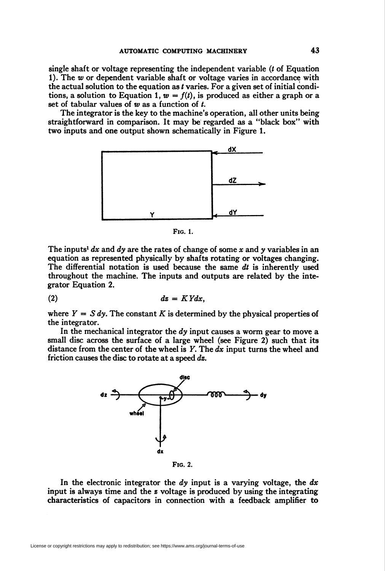single shaft or voltage representing the independent variable (t of Equation 1). The  $w$  or dependent variable shaft or voltage varies in accordance with the actual solution to the equation as  $t$  varies. For a given set of initial conditions, a solution to Equation 1,  $w = f(t)$ , is produced as either a graph or a set of tabular values of  $w$  as a function of  $t$ .

The integrator is the key to the machine's operation, all other units being straightforward in comparison. It may be regarded as a "black box" with two inputs and one output shown schematically in Figure 1.



Fig. 1.

The inputs<sup>1</sup> dx and dy are the rates of change of some x and y variables in an equation as represented physically by shafts rotating or voltages changing. The differential notation is used because the same  $dt$  is inherently used throughout the machine. The inputs and outputs are related by the integrator Equation 2.

$$
dz = K Y dx,
$$

where  $Y = S dy$ . The constant K is determined by the physical properties of the integrator.

In the mechanical integrator the  $dy$  input causes a worm gear to move a small disc across the surface of a large wheel (see Figure 2) such that its distance from the center of the wheel is  $Y$ . The  $dx$  input turns the wheel and friction causes the disc to rotate at a speed dz.



In the electronic integrator the  $dy$  input is a varying voltage, the  $dx$ input is always time and the z voltage is produced by using the integrating characteristics of capacitors in connection with a feedback amplifier to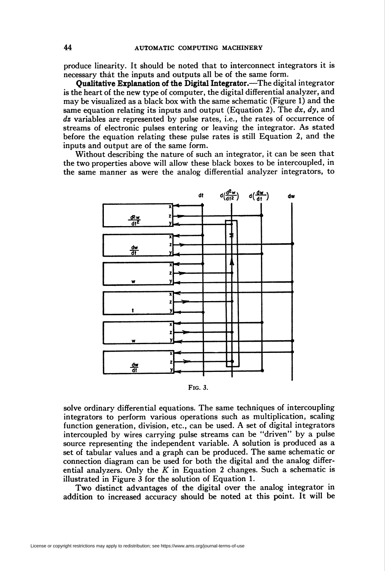produce linearity. It should be noted that to interconnect integrators it is necessary that the inputs and outputs all be of the same form.

Qualitative Explanation of the Digital Integrator.—The digital integrator is the heart of the new type of computer, the digital differential analyzer, and may be visualized as a black box with the same schematic (Figure 1) and the same equation relating its inputs and output (Equation 2). The  $dx$ ,  $dy$ , and dz variables are represented by pulse rates, i.e., the rates of occurrence of streams of electronic pulses entering or leaving the integrator. As stated before the equation relating these pulse rates is still Equation 2, and the inputs and output are of the same form.

Without describing the nature of such an integrator, it can be seen that the two properties above will allow these black boxes to be intercoupled, in the same manner as were the analog differential analyzer integrators, to





solve ordinary differential equations. The same techniques of intercoupling integrators to perform various operations such as multiplication, scaling function generation, division, etc., can be used. A set of digital integrators intercoupled by wires carrying pulse streams can be "driven" by a pulse source representing the independent variable. A solution is produced as a set of tabular values and a graph can be produced. The same schematic or connection diagram can be used for both the digital and the analog differential analyzers. Only the  $K$  in Equation 2 changes. Such a schematic is illustrated in Figure 3 for the solution of Equation 1.

Two distinct advantages of the digital over the analog integrator in addition to increased accuracy should be noted at this point. It will be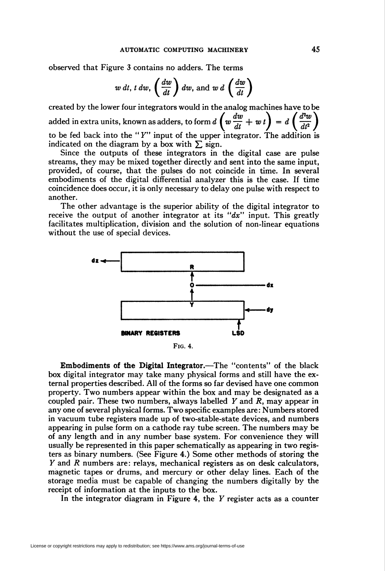observed that Figure 3 contains no adders. The terms

$$
w dt, t dw, \left(\frac{dw}{dt}\right) dw, \text{ and } w d \left(\frac{dw}{dt}\right)
$$

created by the lower four integrators would in the analog machines have to be added in extra units, known as adders, to form  $d\left(w\frac{dw}{dt}+w\,t\right) = d\left(\frac{d^2w}{dt^2}\right)$ to be fed back into the "Y" input of the upper integrator. The addition is indicated on the diagram by a box with  $\Sigma$  sign.

Since the outputs of these integrators in the digital case are pulse streams, they may be mixed together directly and sent into the same input, provided, of course, that the pulses do not coincide in time. In several embodiments of the digital differential analyzer this is the case. If time coincidence does occur, it is only necessary to delay one pulse with respect to another.

The other advantage is the superior ability of the digital integrator to receive the output of another integrator at its " $dx$ " input. This greatly facilitates multiplication, division and the solution of non-linear equations without the use of special devices.



Fig. 4.

Embodiments of the Digital Integrator.—The "contents" of the black box digital integrator may take many physical forms and still have the external properties described. All of the forms so far devised have one common property. Two numbers appear within the box and may be designated as a coupled pair. These two numbers, always labelled  $Y$  and  $R$ , may appear in any one of several physical forms. Two specific examples are: Numbers stored in vacuum tube registers made up of two-stable-state devices, and numbers appearing in pulse form on a cathode ray tube screen. The numbers may be of any length and in any number base system. For convenience they will usually be represented in this paper schematically as appearing in two registers as binary numbers. (See Figure 4.) Some other methods of storing the Y and R numbers are: relays, mechanical registers as on desk calculators, magnetic tapes or drums, and mercury or other delay lines. Each of the storage media must be capable of changing the numbers digitally by the receipt of information at the inputs to the box.

In the integrator diagram in Figure 4, the  $Y$  register acts as a counter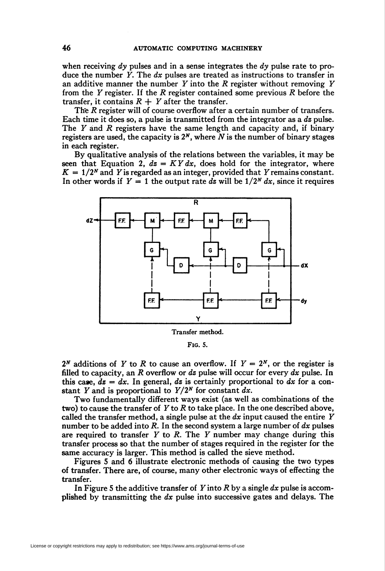when receiving dy pulses and in a sense integrates the dy pulse rate to produce the number Y. The  $dx$  pulses are treated as instructions to transfer in an additive manner the number  $Y$  into the  $R$  register without removing  $Y$ from the  $Y$  register. If the  $R$  register contained some previous  $R$  before the transfer, it contains  $R + Y$  after the transfer.

The R register will of course overflow after a certain number of transfers. Each time it does so, a pulse is transmitted from the integrator as a  $ds$  pulse. The  $Y$  and  $R$  registers have the same length and capacity and, if binary registers are used, the capacity is  $2^N$ , where N is the number of binary stages in each register.

By qualitative analysis of the relations between the variables, it may be seen that Equation 2,  $dz = KY dx$ , does hold for the integrator, where  $K = 1/2<sup>N</sup>$  and Y is regarded as an integer, provided that Y remains constant. In other words if  $Y = 1$  the output rate dz will be  $1/2^N dx$ , since it requires



Fig. 5.

 $2^N$  additions of Y to R to cause an overflow. If  $Y = 2^N$ , or the register is filled to capacity, an R overflow or dz pulse will occur for every  $dx$  pulse. In this case,  $ds = dx$ . In general, dz is certainly proportional to dx for a constant Y and is proportional to  $Y/2^N$  for constant dx.

Two fundamentally different ways exist (as well as combinations of the two) to cause the transfer of  $Y$  to  $R$  to take place. In the one described above, called the transfer method, a single pulse at the  $dx$  input caused the entire Y number to be added into  $R$ . In the second system a large number of  $dx$  pulses are required to transfer  $Y$  to  $R$ . The  $Y$  number may change during this transfer process so that the number of stages required in the register for the same accuracy is larger. This method is called the sieve method.

Figures 5 and 6 illustrate electronic methods of causing the two types of transfer. There are, of course, many other electronic ways of effecting the transfer.

In Figure 5 the additive transfer of Y into R by a single  $dx$  pulse is accomplished by transmitting the  $dx$  pulse into successive gates and delays. The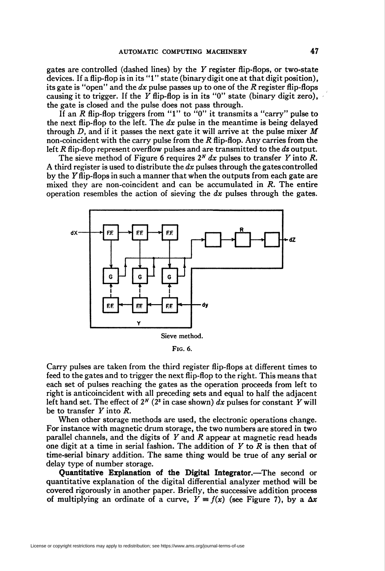gates are controlled (dashed lines) by the Y register flip-flops, or two-state devices. If a flip-flop is in its "1" state (binary digit one at that digit position), its gate is "open" and the dx pulse passes up to one of the R register flip-flops causing it to trigger. If the Y flip-flop is in its "0" state (binary digit zero), the gate is closed and the pulse does not pass through.

If an R flip-flop triggers from "1" to "0" it transmits a "carry" pulse to the next flip-flop to the left. The  $dx$  pulse in the meantime is being delayed through D, and if it passes the next gate it will arrive at the pulse mixer  $M$ non-coincident with the carry pulse from the  $R$  flip-flop. Any carries from the left R flip-flop represent overflow pulses and are transmitted to the  $ds$  output.

The sieve method of Figure 6 requires  $2^N dx$  pulses to transfer Y into R. A third register is used to distribute the  $dx$  pulses through the gates controlled by the F flip-flops in such a manner that when the outputs from each gate are mixed they are non-coincident and can be accumulated in R. The entire operation resembles the action of sieving the  $dx$  pulses through the gates.



Fig. 6.

Carry pulses are taken from the third register flip-flops at different times to feed to the gates and to trigger the next flip-flop to the right. This means that each set of pulses reaching the gates as the operation proceeds from left to right is anticoincident with all preceding sets and equal to half the adjacent left hand set. The effect of  $2^N$  ( $2^3$  in case shown) dx pulses for constant Y will be to transfer Y into R.

When other storage methods are used, the electronic operations change. For instance with magnetic drum storage, the two numbers are stored in two parallel channels, and the digits of  $Y$  and  $R$  appear at magnetic read heads one digit at a time in serial fashion. The addition of  $Y$  to  $\overline{R}$  is then that of time-serial binary addition. The same thing would be true of any serial or delay type of number storage.

Quantitative Explanation of the Digital Integrator.—The second or quantitative explanation of the digital differential analyzer method will be covered rigorously in another paper. Briefly, the successive addition process of multiplying an ordinate of a curve,  $Y = f(x)$  (see Figure 7), by a  $\Delta x$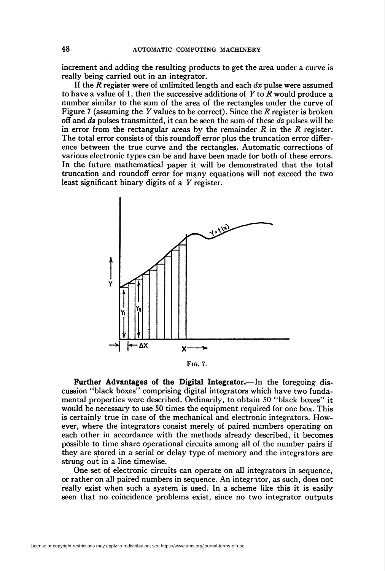increment and adding the resulting products to get the area under a curve is really being carried out in an integrator.

If the  $R$  register were of unlimited length and each  $dx$  pulse were assumed to have a value of 1, then the successive additions of Y to R would produce a number similar to the sum of the area of the rectangles under the curve of Figure 7 (assuming the Y values to be correct). Since the R register is broken off and  $dz$  pulses transmitted, it can be seen the sum of these  $dz$  pulses will be in error from the rectangular areas by the remainder  $R$  in the  $R$  register. The total error consists of this roundoff error plus the truncation error difference between the true curve and the rectangles. Automatic corrections of various electronic types can be and have been made for both of these errors. In the future mathematical paper it will be demonstrated that the total truncation and roundoff error for many equations will not exceed the two least significant binary digits of a  $Y$  register.



Fig. 7.

Further Advantages of the Digital Integrator.—In the foregoing discussion "black boxes" comprising digital integrators which have two fundamental properties were described. Ordinarily, to obtain 50 "black boxes" it would be necessary to use 50 times the equipment required for one box. This is certainly true in case of the mechanical and electronic integrators. However, where the integrators consist merely of paired numbers operating on each other in accordance with the methods already described, it becomes possible to time share operational circuits among all of the number pairs if they are stored in a serial or delay type of memory and the integrators are strung out in a line timewise.

One set of electronic circuits can operate on all integrators in sequence, or rather on all paired numbers in sequence. An integritor, as such, does not really exist when such a system is used. In a scheme like this it is easily seen that no coincidence problems exist, since no two integrator outputs